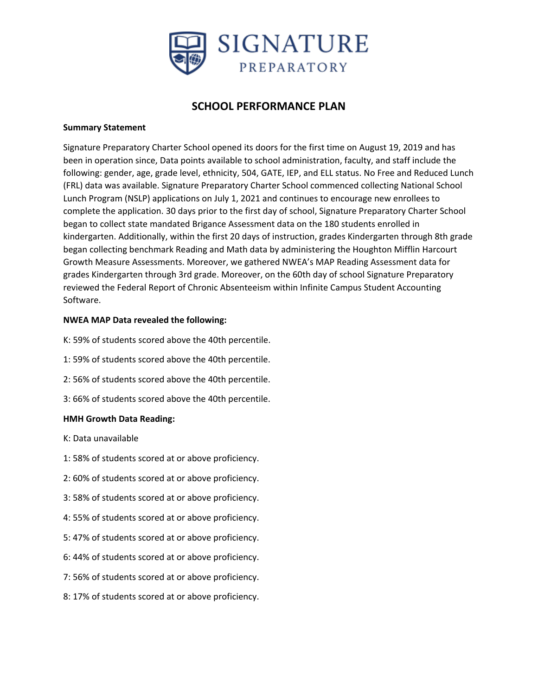

## **SCHOOL PERFORMANCE PLAN**

### **Summary Statement**

Signature Preparatory Charter School opened its doors for the first time on August 19, 2019 and has been in operation since, Data points available to school administration, faculty, and staff include the following: gender, age, grade level, ethnicity, 504, GATE, IEP, and ELL status. No Free and Reduced Lunch (FRL) data was available. Signature Preparatory Charter School commenced collecting National School Lunch Program (NSLP) applications on July 1, 2021 and continues to encourage new enrollees to complete the application. 30 days prior to the first day of school, Signature Preparatory Charter School began to collect state mandated Brigance Assessment data on the 180 students enrolled in kindergarten. Additionally, within the first 20 days of instruction, grades Kindergarten through 8th grade began collecting benchmark Reading and Math data by administering the Houghton Mifflin Harcourt Growth Measure Assessments. Moreover, we gathered NWEA's MAP Reading Assessment data for grades Kindergarten through 3rd grade. Moreover, on the 60th day of school Signature Preparatory reviewed the Federal Report of Chronic Absenteeism within Infinite Campus Student Accounting Software.

### **NWEA MAP Data revealed the following:**

- K: 59% of students scored above the 40th percentile.
- 1: 59% of students scored above the 40th percentile.
- 2: 56% of students scored above the 40th percentile.
- 3: 66% of students scored above the 40th percentile.

### **HMH Growth Data Reading:**

- K: Data unavailable
- 1: 58% of students scored at or above proficiency.
- 2: 60% of students scored at or above proficiency.
- 3: 58% of students scored at or above proficiency.
- 4: 55% of students scored at or above proficiency.
- 5: 47% of students scored at or above proficiency.
- 6: 44% of students scored at or above proficiency.
- 7: 56% of students scored at or above proficiency.
- 8: 17% of students scored at or above proficiency.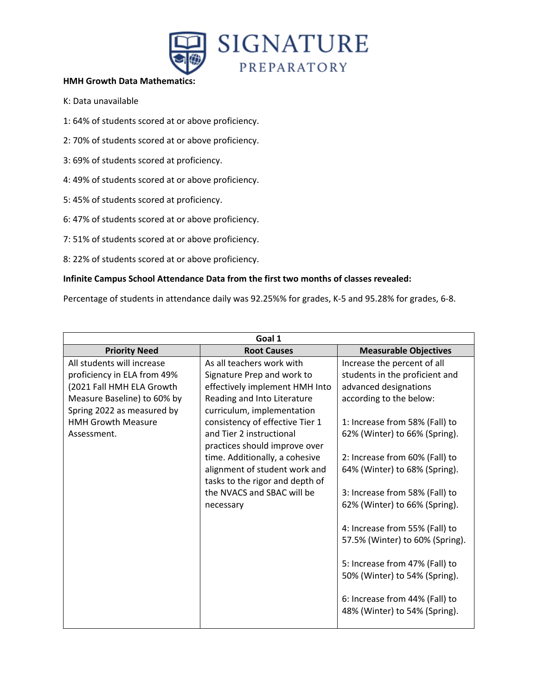

### **HMH Growth Data Mathematics:**

- K: Data unavailable
- 1: 64% of students scored at or above proficiency.
- 2: 70% of students scored at or above proficiency.
- 3: 69% of students scored at proficiency.
- 4: 49% of students scored at or above proficiency.
- 5: 45% of students scored at proficiency.
- 6: 47% of students scored at or above proficiency.
- 7: 51% of students scored at or above proficiency.
- 8: 22% of students scored at or above proficiency.

### **Infinite Campus School Attendance Data from the first two months of classes revealed:**

Percentage of students in attendance daily was 92.25%% for grades, K-5 and 95.28% for grades, 6-8.

|                             | Goal 1                          |                                 |
|-----------------------------|---------------------------------|---------------------------------|
| <b>Priority Need</b>        | <b>Root Causes</b>              | <b>Measurable Objectives</b>    |
| All students will increase  | As all teachers work with       | Increase the percent of all     |
| proficiency in ELA from 49% | Signature Prep and work to      | students in the proficient and  |
| (2021 Fall HMH ELA Growth   | effectively implement HMH Into  | advanced designations           |
| Measure Baseline) to 60% by | Reading and Into Literature     | according to the below:         |
| Spring 2022 as measured by  | curriculum, implementation      |                                 |
| <b>HMH Growth Measure</b>   | consistency of effective Tier 1 | 1: Increase from 58% (Fall) to  |
| Assessment.                 | and Tier 2 instructional        | 62% (Winter) to 66% (Spring).   |
|                             | practices should improve over   |                                 |
|                             | time. Additionally, a cohesive  | 2: Increase from 60% (Fall) to  |
|                             | alignment of student work and   | 64% (Winter) to 68% (Spring).   |
|                             | tasks to the rigor and depth of |                                 |
|                             | the NVACS and SBAC will be      | 3: Increase from 58% (Fall) to  |
|                             | necessary                       | 62% (Winter) to 66% (Spring).   |
|                             |                                 |                                 |
|                             |                                 | 4: Increase from 55% (Fall) to  |
|                             |                                 | 57.5% (Winter) to 60% (Spring). |
|                             |                                 |                                 |
|                             |                                 | 5: Increase from 47% (Fall) to  |
|                             |                                 | 50% (Winter) to 54% (Spring).   |
|                             |                                 |                                 |
|                             |                                 | 6: Increase from 44% (Fall) to  |
|                             |                                 | 48% (Winter) to 54% (Spring).   |
|                             |                                 |                                 |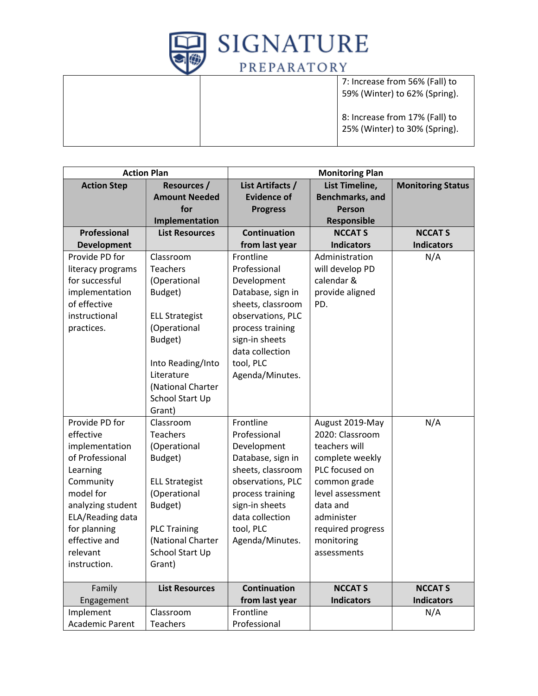

7: Increase from 56% (Fall) to 59% (Winter) to 62% (Spring).

8: Increase from 17% (Fall) to 25% (Winter) to 30% (Spring).

|                               | <b>Action Plan</b>                       |                              | <b>Monitoring Plan</b>          |                          |
|-------------------------------|------------------------------------------|------------------------------|---------------------------------|--------------------------|
| <b>Action Step</b>            | <b>Resources /</b>                       | List Artifacts /             | List Timeline,                  | <b>Monitoring Status</b> |
|                               | <b>Amount Needed</b>                     | <b>Evidence of</b>           | Benchmarks, and                 |                          |
|                               | for                                      | <b>Progress</b>              | <b>Person</b>                   |                          |
|                               | Implementation                           |                              | Responsible                     |                          |
| Professional                  | <b>List Resources</b>                    | <b>Continuation</b>          | <b>NCCAT S</b>                  | <b>NCCAT S</b>           |
| <b>Development</b>            |                                          | from last year               | <b>Indicators</b>               | <b>Indicators</b>        |
| Provide PD for                | Classroom                                | Frontline                    | Administration                  | N/A                      |
| literacy programs             | <b>Teachers</b>                          | Professional                 | will develop PD                 |                          |
| for successful                | (Operational                             | Development                  | calendar &                      |                          |
| implementation                | Budget)                                  | Database, sign in            | provide aligned                 |                          |
| of effective                  |                                          | sheets, classroom            | PD.                             |                          |
| instructional                 | <b>ELL Strategist</b>                    | observations, PLC            |                                 |                          |
| practices.                    | (Operational                             | process training             |                                 |                          |
|                               | Budget)                                  | sign-in sheets               |                                 |                          |
|                               |                                          | data collection              |                                 |                          |
|                               | Into Reading/Into                        | tool, PLC                    |                                 |                          |
|                               | Literature                               | Agenda/Minutes.              |                                 |                          |
|                               | (National Charter                        |                              |                                 |                          |
|                               | School Start Up                          |                              |                                 |                          |
|                               | Grant)                                   |                              |                                 |                          |
| Provide PD for                | Classroom                                | Frontline                    | August 2019-May                 | N/A                      |
| effective                     | <b>Teachers</b>                          | Professional                 | 2020: Classroom                 |                          |
| implementation                | (Operational                             | Development                  | teachers will                   |                          |
| of Professional               | Budget)                                  | Database, sign in            | complete weekly                 |                          |
| Learning                      |                                          | sheets, classroom            | PLC focused on                  |                          |
| Community                     | <b>ELL Strategist</b>                    | observations, PLC            | common grade                    |                          |
| model for                     | (Operational                             | process training             | level assessment                |                          |
| analyzing student             | Budget)                                  | sign-in sheets               | data and                        |                          |
| ELA/Reading data              |                                          | data collection              | administer                      |                          |
| for planning<br>effective and | <b>PLC Training</b><br>(National Charter | tool, PLC<br>Agenda/Minutes. | required progress<br>monitoring |                          |
| relevant                      | School Start Up                          |                              | assessments                     |                          |
| instruction.                  |                                          |                              |                                 |                          |
|                               | Grant)                                   |                              |                                 |                          |
| Family                        | <b>List Resources</b>                    | <b>Continuation</b>          | <b>NCCAT S</b>                  | <b>NCCAT S</b>           |
| Engagement                    |                                          | from last year               | <b>Indicators</b>               | <b>Indicators</b>        |
| Implement                     | Classroom                                | Frontline                    |                                 | N/A                      |
| <b>Academic Parent</b>        | Teachers                                 | Professional                 |                                 |                          |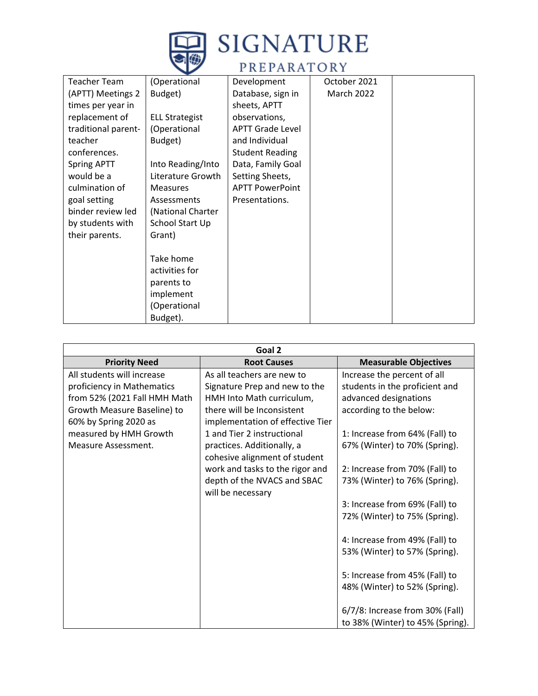

# **SIGNATURE**

# PREPARATORY

| <b>Teacher Team</b> | (Operational          | Development             | October 2021      |  |
|---------------------|-----------------------|-------------------------|-------------------|--|
| (APTT) Meetings 2   | Budget)               | Database, sign in       | <b>March 2022</b> |  |
| times per year in   |                       | sheets, APTT            |                   |  |
| replacement of      | <b>ELL Strategist</b> | observations,           |                   |  |
| traditional parent- | (Operational          | <b>APTT Grade Level</b> |                   |  |
| teacher             | Budget)               | and Individual          |                   |  |
| conferences.        |                       | <b>Student Reading</b>  |                   |  |
| <b>Spring APTT</b>  | Into Reading/Into     | Data, Family Goal       |                   |  |
| would be a          | Literature Growth     | Setting Sheets,         |                   |  |
| culmination of      | <b>Measures</b>       | <b>APTT PowerPoint</b>  |                   |  |
| goal setting        | Assessments           | Presentations.          |                   |  |
| binder review led   | (National Charter     |                         |                   |  |
| by students with    | School Start Up       |                         |                   |  |
| their parents.      | Grant)                |                         |                   |  |
|                     |                       |                         |                   |  |
|                     | Take home             |                         |                   |  |
|                     | activities for        |                         |                   |  |
|                     | parents to            |                         |                   |  |
|                     | implement             |                         |                   |  |
|                     | (Operational          |                         |                   |  |
|                     | Budget).              |                         |                   |  |

|                              | Goal 2                           |                                  |
|------------------------------|----------------------------------|----------------------------------|
| <b>Priority Need</b>         | <b>Root Causes</b>               | <b>Measurable Objectives</b>     |
| All students will increase   | As all teachers are new to       | Increase the percent of all      |
| proficiency in Mathematics   | Signature Prep and new to the    | students in the proficient and   |
| from 52% (2021 Fall HMH Math | HMH Into Math curriculum,        | advanced designations            |
| Growth Measure Baseline) to  | there will be Inconsistent       | according to the below:          |
| 60% by Spring 2020 as        | implementation of effective Tier |                                  |
| measured by HMH Growth       | 1 and Tier 2 instructional       | 1: Increase from 64% (Fall) to   |
| Measure Assessment.          | practices. Additionally, a       | 67% (Winter) to 70% (Spring).    |
|                              | cohesive alignment of student    |                                  |
|                              | work and tasks to the rigor and  | 2: Increase from 70% (Fall) to   |
|                              | depth of the NVACS and SBAC      | 73% (Winter) to 76% (Spring).    |
|                              | will be necessary                |                                  |
|                              |                                  | 3: Increase from 69% (Fall) to   |
|                              |                                  | 72% (Winter) to 75% (Spring).    |
|                              |                                  |                                  |
|                              |                                  | 4: Increase from 49% (Fall) to   |
|                              |                                  | 53% (Winter) to 57% (Spring).    |
|                              |                                  |                                  |
|                              |                                  | 5: Increase from 45% (Fall) to   |
|                              |                                  | 48% (Winter) to 52% (Spring).    |
|                              |                                  |                                  |
|                              |                                  | 6/7/8: Increase from 30% (Fall)  |
|                              |                                  | to 38% (Winter) to 45% (Spring). |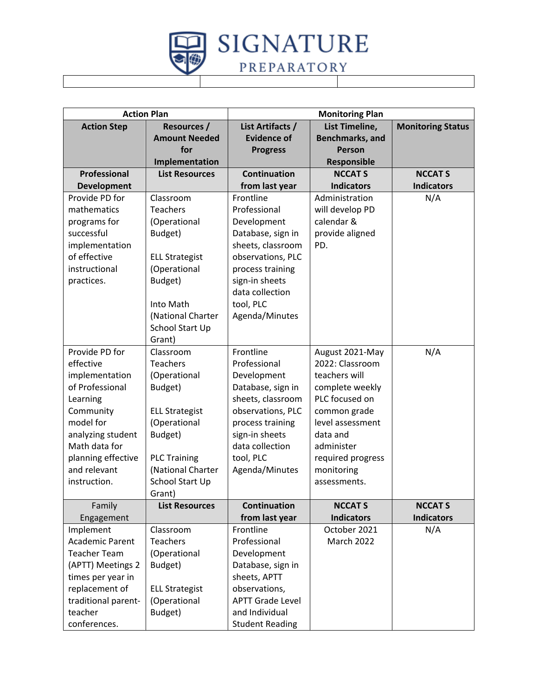

| <b>Action Plan</b>     |                       |                         | <b>Monitoring Plan</b> |                          |
|------------------------|-----------------------|-------------------------|------------------------|--------------------------|
| <b>Action Step</b>     | <b>Resources /</b>    | List Artifacts /        | List Timeline,         | <b>Monitoring Status</b> |
|                        | <b>Amount Needed</b>  | <b>Evidence of</b>      | <b>Benchmarks, and</b> |                          |
|                        | for                   | <b>Progress</b>         | Person                 |                          |
|                        | Implementation        |                         | Responsible            |                          |
| Professional           | <b>List Resources</b> | <b>Continuation</b>     | <b>NCCAT S</b>         | <b>NCCAT S</b>           |
| <b>Development</b>     |                       | from last year          | <b>Indicators</b>      | <b>Indicators</b>        |
| Provide PD for         | Classroom             | Frontline               | Administration         | N/A                      |
| mathematics            | <b>Teachers</b>       | Professional            | will develop PD        |                          |
| programs for           | (Operational          | Development             | calendar &             |                          |
| successful             | Budget)               | Database, sign in       | provide aligned        |                          |
| implementation         |                       | sheets, classroom       | PD.                    |                          |
| of effective           | <b>ELL Strategist</b> | observations, PLC       |                        |                          |
| instructional          | (Operational          | process training        |                        |                          |
| practices.             | Budget)               | sign-in sheets          |                        |                          |
|                        |                       | data collection         |                        |                          |
|                        | Into Math             | tool, PLC               |                        |                          |
|                        | (National Charter     | Agenda/Minutes          |                        |                          |
|                        | School Start Up       |                         |                        |                          |
|                        | Grant)                |                         |                        |                          |
| Provide PD for         | Classroom             | Frontline               | August 2021-May        | N/A                      |
| effective              | <b>Teachers</b>       | Professional            | 2022: Classroom        |                          |
| implementation         | (Operational          | Development             | teachers will          |                          |
| of Professional        | Budget)               | Database, sign in       | complete weekly        |                          |
| Learning               |                       | sheets, classroom       | PLC focused on         |                          |
| Community              | <b>ELL Strategist</b> | observations, PLC       | common grade           |                          |
| model for              | (Operational          | process training        | level assessment       |                          |
| analyzing student      | Budget)               | sign-in sheets          | data and               |                          |
| Math data for          |                       | data collection         | administer             |                          |
| planning effective     | <b>PLC Training</b>   | tool, PLC               | required progress      |                          |
| and relevant           | (National Charter     | Agenda/Minutes          | monitoring             |                          |
| instruction.           | School Start Up       |                         | assessments.           |                          |
|                        | Grant)                |                         |                        |                          |
| Family                 | <b>List Resources</b> | <b>Continuation</b>     | <b>NCCAT S</b>         | <b>NCCAT S</b>           |
| Engagement             |                       | from last year          | <b>Indicators</b>      | <b>Indicators</b>        |
| Implement              | Classroom             | Frontline               | October 2021           | N/A                      |
| <b>Academic Parent</b> | <b>Teachers</b>       | Professional            | <b>March 2022</b>      |                          |
| <b>Teacher Team</b>    | (Operational          | Development             |                        |                          |
| (APTT) Meetings 2      | Budget)               | Database, sign in       |                        |                          |
| times per year in      |                       | sheets, APTT            |                        |                          |
| replacement of         | <b>ELL Strategist</b> | observations,           |                        |                          |
| traditional parent-    | (Operational          | <b>APTT Grade Level</b> |                        |                          |
| teacher                | Budget)               | and Individual          |                        |                          |
| conferences.           |                       | <b>Student Reading</b>  |                        |                          |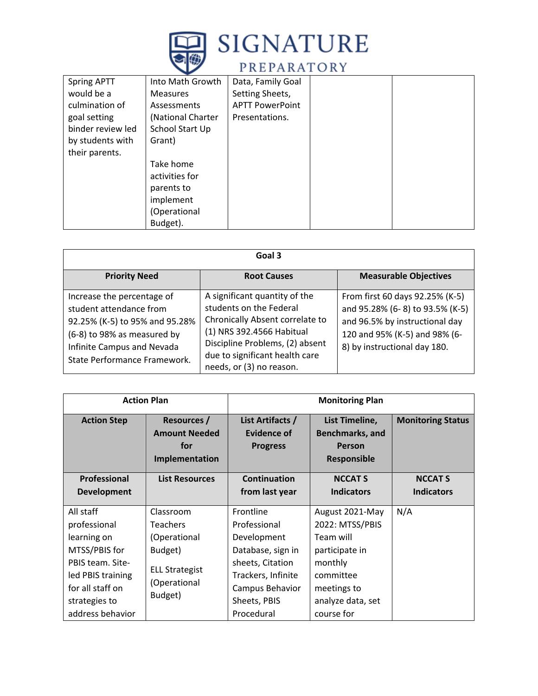

| <b>Spring APTT</b> | Into Math Growth  | Data, Family Goal      |  |
|--------------------|-------------------|------------------------|--|
| would be a         | <b>Measures</b>   | Setting Sheets,        |  |
| culmination of     | Assessments       | <b>APTT PowerPoint</b> |  |
| goal setting       | (National Charter | Presentations.         |  |
| binder review led  | School Start Up   |                        |  |
| by students with   | Grant)            |                        |  |
| their parents.     |                   |                        |  |
|                    | Take home         |                        |  |
|                    | activities for    |                        |  |
|                    | parents to        |                        |  |
|                    | implement         |                        |  |
|                    | (Operational      |                        |  |
|                    | Budget).          |                        |  |

|                                                                                                                                                                                      | Goal 3                                                                                                                                                                                                                    |                                                                                                                                                                       |
|--------------------------------------------------------------------------------------------------------------------------------------------------------------------------------------|---------------------------------------------------------------------------------------------------------------------------------------------------------------------------------------------------------------------------|-----------------------------------------------------------------------------------------------------------------------------------------------------------------------|
| <b>Priority Need</b>                                                                                                                                                                 | <b>Root Causes</b>                                                                                                                                                                                                        | <b>Measurable Objectives</b>                                                                                                                                          |
| Increase the percentage of<br>student attendance from<br>92.25% (K-5) to 95% and 95.28%<br>(6-8) to 98% as measured by<br>Infinite Campus and Nevada<br>State Performance Framework. | A significant quantity of the<br>students on the Federal<br>Chronically Absent correlate to<br>(1) NRS 392.4566 Habitual<br>Discipline Problems, (2) absent<br>due to significant health care<br>needs, or (3) no reason. | From first 60 days 92.25% (K-5)<br>and 95.28% (6-8) to 93.5% (K-5)<br>and 96.5% by instructional day<br>120 and 95% (K-5) and 98% (6-<br>8) by instructional day 180. |

| <b>Action Plan</b> |                                                              | <b>Monitoring Plan</b>                                    |                                                                                 |                          |
|--------------------|--------------------------------------------------------------|-----------------------------------------------------------|---------------------------------------------------------------------------------|--------------------------|
| <b>Action Step</b> | Resources /<br><b>Amount Needed</b><br>for<br>Implementation | List Artifacts /<br><b>Evidence of</b><br><b>Progress</b> | List Timeline,<br><b>Benchmarks, and</b><br><b>Person</b><br><b>Responsible</b> | <b>Monitoring Status</b> |
| Professional       | <b>List Resources</b>                                        | Continuation                                              | <b>NCCAT S</b>                                                                  | <b>NCCAT S</b>           |
| <b>Development</b> |                                                              | from last year                                            | <b>Indicators</b>                                                               | <b>Indicators</b>        |
| All staff          | Classroom                                                    | Frontline                                                 | August 2021-May                                                                 | N/A                      |
| professional       | <b>Teachers</b>                                              | Professional                                              | 2022: MTSS/PBIS                                                                 |                          |
| learning on        | (Operational                                                 | Development                                               | Team will                                                                       |                          |
| MTSS/PBIS for      | Budget)                                                      | Database, sign in                                         | participate in                                                                  |                          |
| PBIS team. Site-   |                                                              | sheets, Citation                                          | monthly                                                                         |                          |
| led PBIS training  | <b>ELL Strategist</b>                                        | Trackers, Infinite                                        | committee                                                                       |                          |
| for all staff on   | (Operational                                                 | Campus Behavior                                           | meetings to                                                                     |                          |
| strategies to      | Budget)                                                      | Sheets, PBIS                                              | analyze data, set                                                               |                          |
| address behavior   |                                                              | Procedural                                                | course for                                                                      |                          |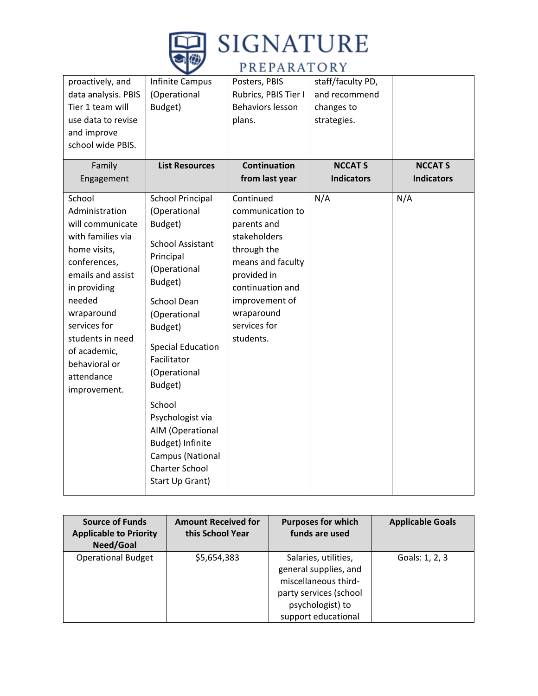

# **SIGNATURE**

# PREPARATORY

| proactively, and<br>data analysis. PBIS<br>Tier 1 team will<br>use data to revise<br>and improve<br>school wide PBIS.<br>Family                                                                                                                                   | Infinite Campus<br>(Operational<br>Budget)<br><b>List Resources</b>                                                                                                                                                                                                                                                                                                         | Posters, PBIS<br>Rubrics, PBIS Tier I<br>Behaviors lesson<br>plans.<br><b>Continuation</b>                                                                                                       | staff/faculty PD,<br>and recommend<br>changes to<br>strategies.<br><b>NCCAT S</b> | <b>NCCAT S</b>    |
|-------------------------------------------------------------------------------------------------------------------------------------------------------------------------------------------------------------------------------------------------------------------|-----------------------------------------------------------------------------------------------------------------------------------------------------------------------------------------------------------------------------------------------------------------------------------------------------------------------------------------------------------------------------|--------------------------------------------------------------------------------------------------------------------------------------------------------------------------------------------------|-----------------------------------------------------------------------------------|-------------------|
| Engagement                                                                                                                                                                                                                                                        |                                                                                                                                                                                                                                                                                                                                                                             | from last year                                                                                                                                                                                   | <b>Indicators</b>                                                                 | <b>Indicators</b> |
| School<br>Administration<br>will communicate<br>with families via<br>home visits,<br>conferences,<br>emails and assist<br>in providing<br>needed<br>wraparound<br>services for<br>students in need<br>of academic,<br>behavioral or<br>attendance<br>improvement. | <b>School Principal</b><br>(Operational<br>Budget)<br><b>School Assistant</b><br>Principal<br>(Operational<br>Budget)<br>School Dean<br>(Operational<br>Budget)<br><b>Special Education</b><br>Facilitator<br>(Operational<br>Budget)<br>School<br>Psychologist via<br>AIM (Operational<br>Budget) Infinite<br>Campus (National<br><b>Charter School</b><br>Start Up Grant) | Continued<br>communication to<br>parents and<br>stakeholders<br>through the<br>means and faculty<br>provided in<br>continuation and<br>improvement of<br>wraparound<br>services for<br>students. | N/A                                                                               | N/A               |

| <b>Source of Funds</b><br><b>Applicable to Priority</b><br>Need/Goal | <b>Amount Received for</b><br>this School Year | <b>Purposes for which</b><br>funds are used                                                                                                | <b>Applicable Goals</b> |
|----------------------------------------------------------------------|------------------------------------------------|--------------------------------------------------------------------------------------------------------------------------------------------|-------------------------|
| <b>Operational Budget</b>                                            | \$5,654,383                                    | Salaries, utilities,<br>general supplies, and<br>miscellaneous third-<br>party services (school<br>psychologist) to<br>support educational | Goals: 1, 2, 3          |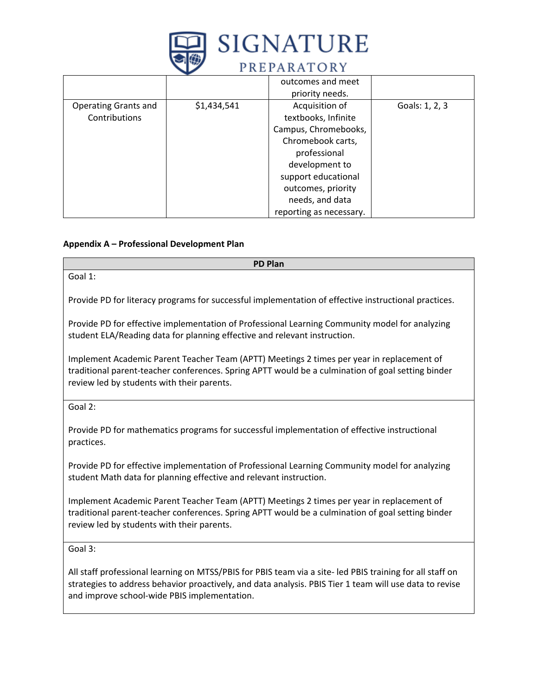

|                             |             | outcomes and meet       |                |
|-----------------------------|-------------|-------------------------|----------------|
|                             |             | priority needs.         |                |
| <b>Operating Grants and</b> | \$1,434,541 | Acquisition of          | Goals: 1, 2, 3 |
| Contributions               |             | textbooks, Infinite     |                |
|                             |             | Campus, Chromebooks,    |                |
|                             |             | Chromebook carts,       |                |
|                             |             | professional            |                |
|                             |             | development to          |                |
|                             |             | support educational     |                |
|                             |             | outcomes, priority      |                |
|                             |             | needs, and data         |                |
|                             |             | reporting as necessary. |                |

### **Appendix A – Professional Development Plan**

| <b>PD Plan</b>                                                                                                                                                                                                                               |
|----------------------------------------------------------------------------------------------------------------------------------------------------------------------------------------------------------------------------------------------|
| Goal 1:                                                                                                                                                                                                                                      |
| Provide PD for literacy programs for successful implementation of effective instructional practices.                                                                                                                                         |
| Provide PD for effective implementation of Professional Learning Community model for analyzing<br>student ELA/Reading data for planning effective and relevant instruction.                                                                  |
| Implement Academic Parent Teacher Team (APTT) Meetings 2 times per year in replacement of<br>traditional parent-teacher conferences. Spring APTT would be a culmination of goal setting binder<br>review led by students with their parents. |
| Goal 2:                                                                                                                                                                                                                                      |
| Provide PD for mathematics programs for successful implementation of effective instructional<br>practices.                                                                                                                                   |
| Provide PD for effective implementation of Professional Learning Community model for analyzing<br>student Math data for planning effective and relevant instruction.                                                                         |
| Implement Academic Parent Teacher Team (APTT) Meetings 2 times per year in replacement of<br>traditional parent-teacher conferences. Spring APTT would be a culmination of goal setting binder<br>review led by students with their parents. |
| Goal 3:                                                                                                                                                                                                                                      |
| All staff professional learning on MTSS/PBIS for PBIS team via a site- led PBIS training for all staff on<br>ctrategies to address behavior proactively, and data anglysis. DRIS Tier 1 team will use data to revise                         |

strategies to address behavior proactively, and data analysis. PBIS Tier 1 team will use data to revise and improve school-wide PBIS implementation.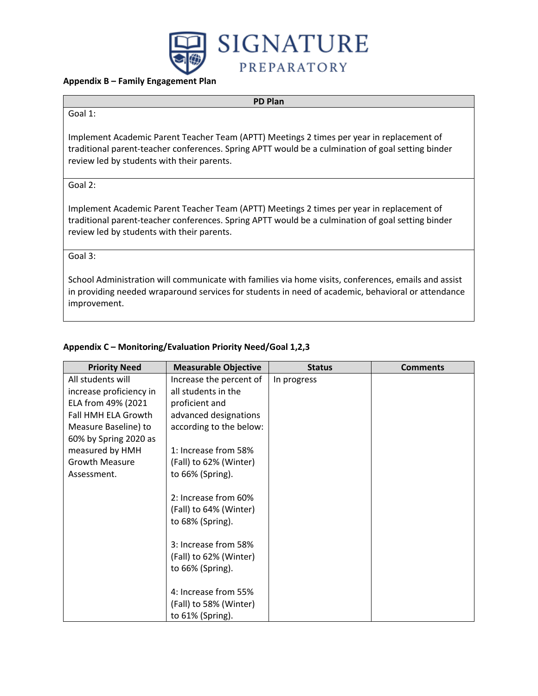

### **Appendix B – Family Engagement Plan**

### **PD Plan**

#### Goal 1:

Implement Academic Parent Teacher Team (APTT) Meetings 2 times per year in replacement of traditional parent-teacher conferences. Spring APTT would be a culmination of goal setting binder review led by students with their parents.

Goal 2:

Implement Academic Parent Teacher Team (APTT) Meetings 2 times per year in replacement of traditional parent-teacher conferences. Spring APTT would be a culmination of goal setting binder review led by students with their parents.

Goal 3:

School Administration will communicate with families via home visits, conferences, emails and assist in providing needed wraparound services for students in need of academic, behavioral or attendance improvement.

### **Appendix C – Monitoring/Evaluation Priority Need/Goal 1,2,3**

| <b>Priority Need</b>    | <b>Measurable Objective</b> | <b>Status</b> | <b>Comments</b> |
|-------------------------|-----------------------------|---------------|-----------------|
| All students will       | Increase the percent of     | In progress   |                 |
| increase proficiency in | all students in the         |               |                 |
| ELA from 49% (2021      | proficient and              |               |                 |
| Fall HMH ELA Growth     | advanced designations       |               |                 |
| Measure Baseline) to    | according to the below:     |               |                 |
| 60% by Spring 2020 as   |                             |               |                 |
| measured by HMH         | 1: Increase from 58%        |               |                 |
| <b>Growth Measure</b>   | (Fall) to 62% (Winter)      |               |                 |
| Assessment.             | to 66% (Spring).            |               |                 |
|                         |                             |               |                 |
|                         | 2: Increase from 60%        |               |                 |
|                         | (Fall) to 64% (Winter)      |               |                 |
|                         | to 68% (Spring).            |               |                 |
|                         |                             |               |                 |
|                         | 3: Increase from 58%        |               |                 |
|                         | (Fall) to 62% (Winter)      |               |                 |
|                         | to 66% (Spring).            |               |                 |
|                         |                             |               |                 |
|                         | 4: Increase from 55%        |               |                 |
|                         | (Fall) to 58% (Winter)      |               |                 |
|                         | to 61% (Spring).            |               |                 |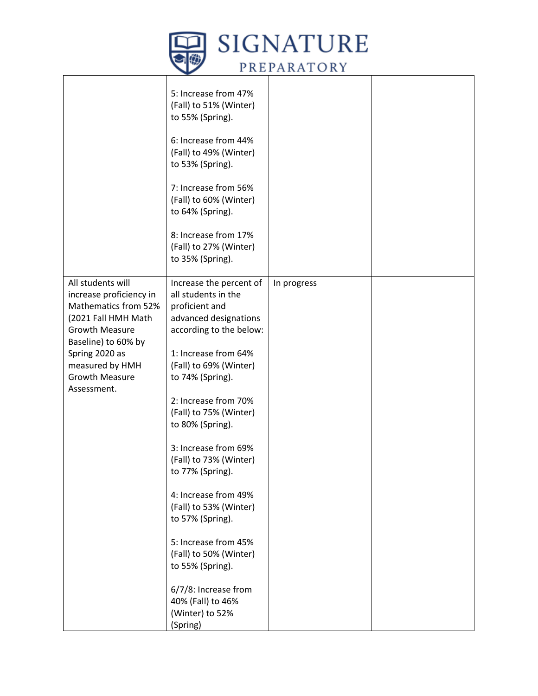

|                                                                                                                                                                                                                          | 5: Increase from 47%<br>(Fall) to 51% (Winter)<br>to 55% (Spring).<br>6: Increase from 44%<br>(Fall) to 49% (Winter)<br>to 53% (Spring).<br>7: Increase from 56%<br>(Fall) to 60% (Winter)<br>to 64% (Spring).<br>8: Increase from 17%<br>(Fall) to 27% (Winter)<br>to 35% (Spring).                                                                                                                                                                                                                                                               |             |  |
|--------------------------------------------------------------------------------------------------------------------------------------------------------------------------------------------------------------------------|----------------------------------------------------------------------------------------------------------------------------------------------------------------------------------------------------------------------------------------------------------------------------------------------------------------------------------------------------------------------------------------------------------------------------------------------------------------------------------------------------------------------------------------------------|-------------|--|
| All students will<br>increase proficiency in<br>Mathematics from 52%<br>(2021 Fall HMH Math<br><b>Growth Measure</b><br>Baseline) to 60% by<br>Spring 2020 as<br>measured by HMH<br><b>Growth Measure</b><br>Assessment. | Increase the percent of<br>all students in the<br>proficient and<br>advanced designations<br>according to the below:<br>1: Increase from 64%<br>(Fall) to 69% (Winter)<br>to 74% (Spring).<br>2: Increase from 70%<br>(Fall) to 75% (Winter)<br>to 80% (Spring).<br>3: Increase from 69%<br>(Fall) to 73% (Winter)<br>to 77% (Spring).<br>4: Increase from 49%<br>(Fall) to 53% (Winter)<br>to 57% (Spring).<br>5: Increase from 45%<br>(Fall) to 50% (Winter)<br>to 55% (Spring).<br>6/7/8: Increase from<br>40% (Fall) to 46%<br>(Winter) to 52% | In progress |  |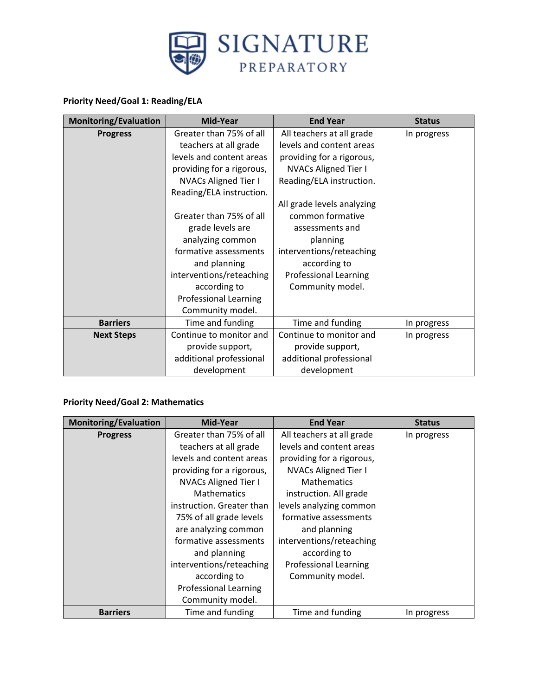

### **Priority Need/Goal 1: Reading/ELA**

| <b>Monitoring/Evaluation</b> | Mid-Year                     | <b>End Year</b>              | <b>Status</b> |
|------------------------------|------------------------------|------------------------------|---------------|
| <b>Progress</b>              | Greater than 75% of all      | All teachers at all grade    | In progress   |
|                              | teachers at all grade        | levels and content areas     |               |
|                              | levels and content areas     | providing for a rigorous,    |               |
|                              | providing for a rigorous,    | <b>NVACs Aligned Tier I</b>  |               |
|                              | <b>NVACs Aligned Tier I</b>  | Reading/ELA instruction.     |               |
|                              | Reading/ELA instruction.     |                              |               |
|                              |                              | All grade levels analyzing   |               |
|                              | Greater than 75% of all      | common formative             |               |
|                              | grade levels are             | assessments and              |               |
|                              | analyzing common             | planning                     |               |
|                              | formative assessments        | interventions/reteaching     |               |
|                              | and planning                 | according to                 |               |
|                              | interventions/reteaching     | <b>Professional Learning</b> |               |
|                              | according to                 | Community model.             |               |
|                              | <b>Professional Learning</b> |                              |               |
|                              | Community model.             |                              |               |
| <b>Barriers</b>              | Time and funding             | Time and funding             | In progress   |
| <b>Next Steps</b>            | Continue to monitor and      | Continue to monitor and      | In progress   |
|                              | provide support,             | provide support,             |               |
|                              | additional professional      | additional professional      |               |
|                              | development                  | development                  |               |

## **Priority Need/Goal 2: Mathematics**

| <b>Monitoring/Evaluation</b> | Mid-Year                     | <b>End Year</b>              | <b>Status</b> |
|------------------------------|------------------------------|------------------------------|---------------|
| <b>Progress</b>              | Greater than 75% of all      | All teachers at all grade    | In progress   |
|                              | teachers at all grade        | levels and content areas     |               |
|                              | levels and content areas     | providing for a rigorous,    |               |
|                              | providing for a rigorous,    | <b>NVACs Aligned Tier I</b>  |               |
|                              | <b>NVACs Aligned Tier I</b>  | <b>Mathematics</b>           |               |
|                              | <b>Mathematics</b>           | instruction. All grade       |               |
|                              | instruction. Greater than    | levels analyzing common      |               |
|                              | 75% of all grade levels      | formative assessments        |               |
|                              | are analyzing common         | and planning                 |               |
|                              | formative assessments        | interventions/reteaching     |               |
|                              | and planning                 | according to                 |               |
|                              | interventions/reteaching     | <b>Professional Learning</b> |               |
|                              | according to                 | Community model.             |               |
|                              | <b>Professional Learning</b> |                              |               |
|                              | Community model.             |                              |               |
| <b>Barriers</b>              | Time and funding             | Time and funding             | In progress   |